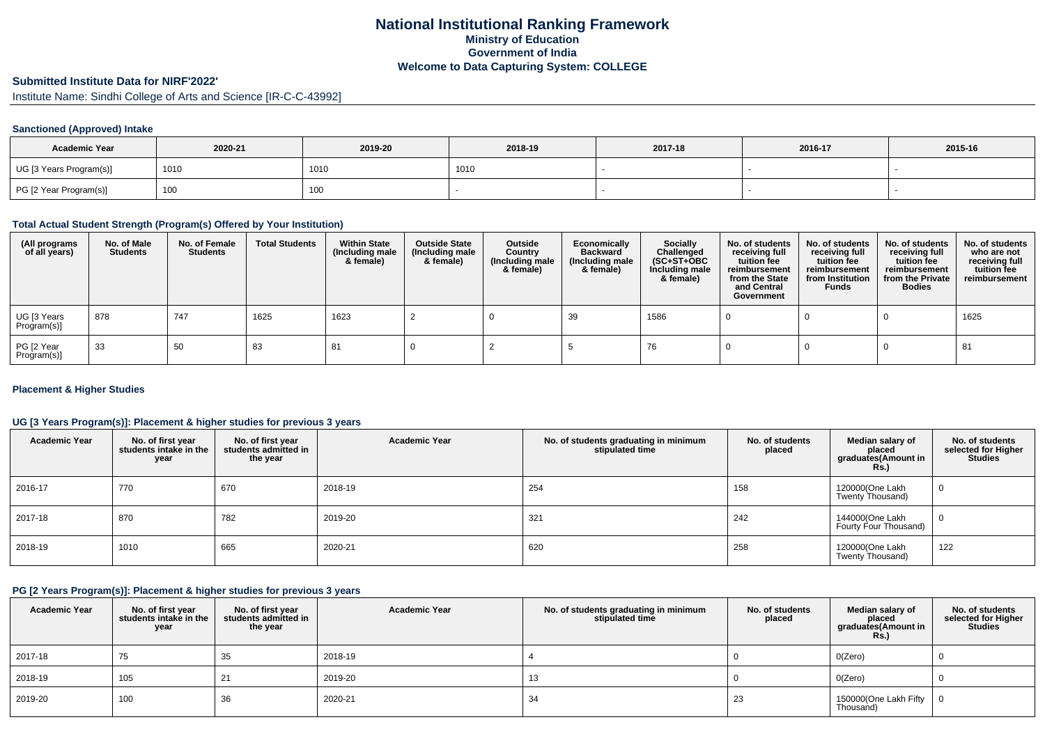# **National Institutional Ranking FrameworkMinistry of Education Government of IndiaWelcome to Data Capturing System: COLLEGE**

# **Submitted Institute Data for NIRF'2022'**

Institute Name: Sindhi College of Arts and Science [IR-C-C-43992]

### **Sanctioned (Approved) Intake**

| <b>Academic Year</b>    | 2020-21 | 2019-20 | 2018-19 | 2017-18 | 2016-17 | 2015-16 |
|-------------------------|---------|---------|---------|---------|---------|---------|
| UG [3 Years Program(s)] | 1010    | 1010    | 1010    |         |         |         |
| PG [2 Year Program(s)]  | 100     | 100     |         |         |         |         |

### **Total Actual Student Strength (Program(s) Offered by Your Institution)**

| (All programs<br>of all years) | No. of Male<br><b>Students</b> | No. of Female<br><b>Students</b> | <b>Total Students</b> | <b>Within State</b><br>(Including male<br>& female) | <b>Outside State</b><br>(Including male<br>& female) | Outside<br>Country<br>(Including male<br>& female) | Economically<br><b>Backward</b><br>(Including male<br>& female) | <b>Socially</b><br>Challenged<br>$(SC+ST+OBC)$<br>Including male<br>& female) | No. of students<br>receiving full<br>tuition fee<br>reimbursement<br>from the State<br>and Central<br>Government | No. of students<br>receiving full<br>tuition fee<br>reimbursement<br>from Institution<br><b>Funds</b> | No. of students<br>receiving full<br>tuition fee<br>reimbursement<br>from the Private<br><b>Bodies</b> | No. of students<br>who are not<br>receiving full<br>tuition fee<br>reimbursement |
|--------------------------------|--------------------------------|----------------------------------|-----------------------|-----------------------------------------------------|------------------------------------------------------|----------------------------------------------------|-----------------------------------------------------------------|-------------------------------------------------------------------------------|------------------------------------------------------------------------------------------------------------------|-------------------------------------------------------------------------------------------------------|--------------------------------------------------------------------------------------------------------|----------------------------------------------------------------------------------|
| UG [3 Years<br>Program(s)]     | 878                            | 747                              | 1625                  | 1623                                                |                                                      |                                                    | 39                                                              | 1586                                                                          |                                                                                                                  |                                                                                                       |                                                                                                        | 1625                                                                             |
| PG [2 Year<br>Program(s)]      | -33                            | 50                               | 83                    | 81                                                  |                                                      |                                                    |                                                                 | 76                                                                            |                                                                                                                  |                                                                                                       |                                                                                                        | 81                                                                               |

#### **Placement & Higher Studies**

#### **UG [3 Years Program(s)]: Placement & higher studies for previous 3 years**

| <b>Academic Year</b> | No. of first year<br>students intake in the<br>year | No. of first year<br>students admitted in<br>the year | <b>Academic Year</b> | No. of students graduating in minimum<br>stipulated time | No. of students<br>placed | Median salary of<br>placed<br>graduates(Amount in<br>Rs.) | No. of students<br>selected for Higher<br><b>Studies</b> |
|----------------------|-----------------------------------------------------|-------------------------------------------------------|----------------------|----------------------------------------------------------|---------------------------|-----------------------------------------------------------|----------------------------------------------------------|
| 2016-17              | 770                                                 | 670                                                   | 2018-19              | 254                                                      | 158                       | 120000(One Lakh<br>Twenty Thousand)                       | 0                                                        |
| 2017-18              | 870                                                 | 782                                                   | 2019-20              | 321                                                      | 242                       | 144000(One Lakh<br>Fourty Four Thousand)                  | $\mathbf 0$                                              |
| 2018-19              | 1010                                                | 665                                                   | 2020-21              | 620                                                      | 258                       | 120000(One Lakh<br>Twenty Thousand)                       | 122                                                      |

### **PG [2 Years Program(s)]: Placement & higher studies for previous 3 years**

| <b>Academic Year</b> | No. of first year<br>students intake in the<br>year | No. of first vear<br>students admitted in<br>the year | <b>Academic Year</b> | No. of students graduating in minimum<br>stipulated time | No. of students<br>placed | Median salary of<br>placed<br>graduates(Amount in<br><b>Rs.)</b> | No. of students<br>selected for Higher<br><b>Studies</b> |
|----------------------|-----------------------------------------------------|-------------------------------------------------------|----------------------|----------------------------------------------------------|---------------------------|------------------------------------------------------------------|----------------------------------------------------------|
| 2017-18              | 75                                                  | 35                                                    | 2018-19              |                                                          |                           | O(Zero)                                                          |                                                          |
| 2018-19              | 105                                                 | 21                                                    | 2019-20              | 13                                                       |                           | O(Zero)                                                          |                                                          |
| 2019-20              | 100                                                 | 36                                                    | 2020-21              | 34                                                       | 23                        | 150000(One Lakh Fifty<br>Thousand)                               |                                                          |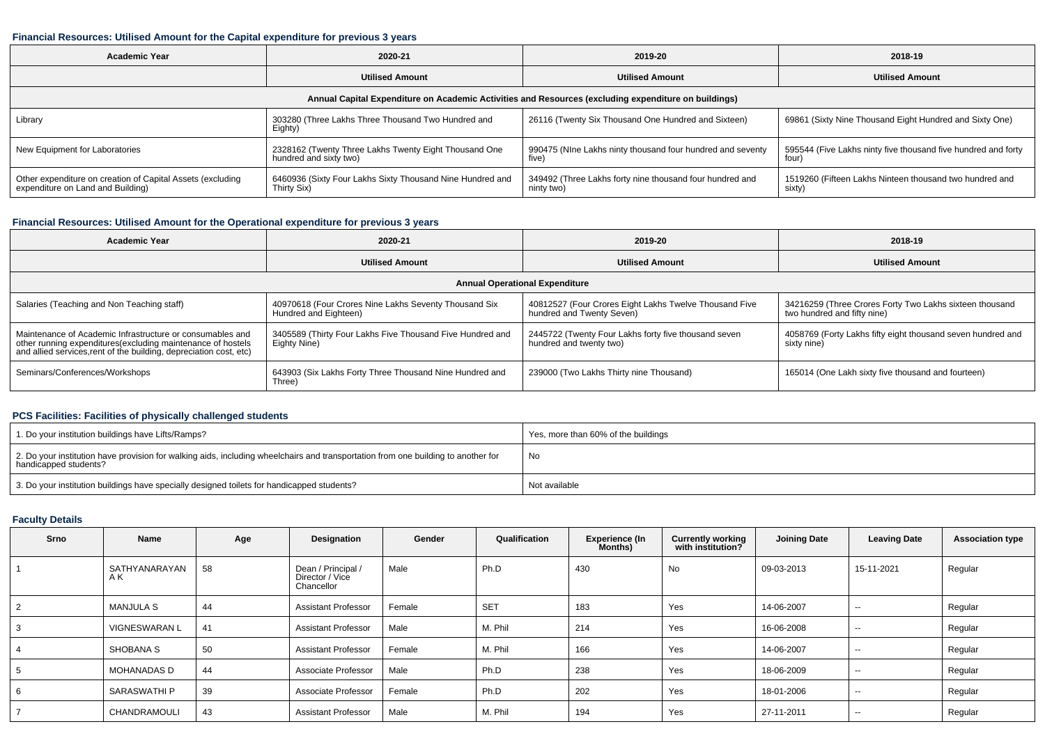#### **Financial Resources: Utilised Amount for the Capital expenditure for previous 3 years**

| <b>Academic Year</b>                                                                                 | 2020-21                                                                         | 2019-20                                                                | 2018-19                                                                |  |  |  |  |  |  |  |
|------------------------------------------------------------------------------------------------------|---------------------------------------------------------------------------------|------------------------------------------------------------------------|------------------------------------------------------------------------|--|--|--|--|--|--|--|
|                                                                                                      | <b>Utilised Amount</b>                                                          | <b>Utilised Amount</b>                                                 | <b>Utilised Amount</b>                                                 |  |  |  |  |  |  |  |
| Annual Capital Expenditure on Academic Activities and Resources (excluding expenditure on buildings) |                                                                                 |                                                                        |                                                                        |  |  |  |  |  |  |  |
| Library                                                                                              | 303280 (Three Lakhs Three Thousand Two Hundred and<br>Eighty)                   | 26116 (Twenty Six Thousand One Hundred and Sixteen)                    | 69861 (Sixty Nine Thousand Eight Hundred and Sixty One)                |  |  |  |  |  |  |  |
| New Equipment for Laboratories                                                                       | 2328162 (Twenty Three Lakhs Twenty Eight Thousand One<br>hundred and sixty two) | 990475 (NIne Lakhs ninty thousand four hundred and seventy<br>five)    | 595544 (Five Lakhs ninty five thousand five hundred and forty<br>four) |  |  |  |  |  |  |  |
| Other expenditure on creation of Capital Assets (excluding<br>expenditure on Land and Building)      | 6460936 (Sixty Four Lakhs Sixty Thousand Nine Hundred and<br>Thirty Six)        | 349492 (Three Lakhs forty nine thousand four hundred and<br>ninty two) | 1519260 (Fifteen Lakhs Ninteen thousand two hundred and<br>sixty)      |  |  |  |  |  |  |  |

## **Financial Resources: Utilised Amount for the Operational expenditure for previous 3 years**

| <b>Academic Year</b>                                                                                                                                                                           | 2020-21                                                                        | 2019-20                                                                             | 2018-19                                                                                |  |  |  |  |  |  |  |
|------------------------------------------------------------------------------------------------------------------------------------------------------------------------------------------------|--------------------------------------------------------------------------------|-------------------------------------------------------------------------------------|----------------------------------------------------------------------------------------|--|--|--|--|--|--|--|
|                                                                                                                                                                                                | <b>Utilised Amount</b>                                                         | <b>Utilised Amount</b>                                                              | <b>Utilised Amount</b>                                                                 |  |  |  |  |  |  |  |
| <b>Annual Operational Expenditure</b>                                                                                                                                                          |                                                                                |                                                                                     |                                                                                        |  |  |  |  |  |  |  |
| Salaries (Teaching and Non Teaching staff)                                                                                                                                                     | 40970618 (Four Crores Nine Lakhs Seventy Thousand Six<br>Hundred and Eighteen) | 40812527 (Four Crores Eight Lakhs Twelve Thousand Five<br>hundred and Twenty Seven) | 34216259 (Three Crores Forty Two Lakhs sixteen thousand<br>two hundred and fifty nine) |  |  |  |  |  |  |  |
| Maintenance of Academic Infrastructure or consumables and<br>other running expenditures(excluding maintenance of hostels<br>and allied services, rent of the building, depreciation cost, etc) | 3405589 (Thirty Four Lakhs Five Thousand Five Hundred and<br>Eighty Nine)      | 2445722 (Twenty Four Lakhs forty five thousand seven<br>hundred and twenty two)     | 4058769 (Forty Lakhs fifty eight thousand seven hundred and<br>sixty nine)             |  |  |  |  |  |  |  |
| Seminars/Conferences/Workshops                                                                                                                                                                 | 643903 (Six Lakhs Forty Three Thousand Nine Hundred and<br>Three)              | 239000 (Two Lakhs Thirty nine Thousand)                                             | 165014 (One Lakh sixty five thousand and fourteen)                                     |  |  |  |  |  |  |  |

### **PCS Facilities: Facilities of physically challenged students**

| 1. Do your institution buildings have Lifts/Ramps?                                                                                                         | Yes, more than 60% of the buildings |
|------------------------------------------------------------------------------------------------------------------------------------------------------------|-------------------------------------|
| 2. Do your institution have provision for walking aids, including wheelchairs and transportation from one building to another for<br>handicapped students? | No                                  |
| 3. Do your institution buildings have specially designed toilets for handicapped students?                                                                 | Not available                       |

### **Faculty Details**

| <b>Srno</b>    | <b>Name</b>          | Age | Designation                                         | Gender | Qualification | <b>Experience (In</b><br>Months) | <b>Currently working</b><br>with institution? | <b>Joining Date</b> | <b>Leaving Date</b>      | <b>Association type</b> |
|----------------|----------------------|-----|-----------------------------------------------------|--------|---------------|----------------------------------|-----------------------------------------------|---------------------|--------------------------|-------------------------|
|                | SATHYANARAYAN<br>ΑK  | 58  | Dean / Principal /<br>Director / Vice<br>Chancellor | Male   | Ph.D          | 430                              | <b>No</b>                                     | 09-03-2013          | 15-11-2021               | Regular                 |
| $\overline{2}$ | <b>MANJULA S</b>     | 44  | <b>Assistant Professor</b>                          | Female | <b>SET</b>    | 183                              | Yes                                           | 14-06-2007          | $\sim$                   | Regular                 |
| 3              | <b>VIGNESWARAN L</b> | 41  | <b>Assistant Professor</b>                          | Male   | M. Phil       | 214                              | Yes                                           | 16-06-2008          | $\sim$                   | Regular                 |
|                | <b>SHOBANA S</b>     | 50  | <b>Assistant Professor</b>                          | Female | M. Phil       | 166                              | Yes                                           | 14-06-2007          | $\sim$                   | Regular                 |
| 5              | MOHANADAS D          | 44  | Associate Professor                                 | Male   | Ph.D          | 238                              | Yes                                           | 18-06-2009          | $\sim$                   | Regular                 |
| 6              | <b>SARASWATHI P</b>  | 39  | Associate Professor                                 | Female | Ph.D          | 202                              | Yes                                           | 18-01-2006          | $\sim$                   | Regular                 |
|                | CHANDRAMOULI         | 43  | <b>Assistant Professor</b>                          | Male   | M. Phil       | 194                              | Yes                                           | 27-11-2011          | $\overline{\phantom{a}}$ | Regular                 |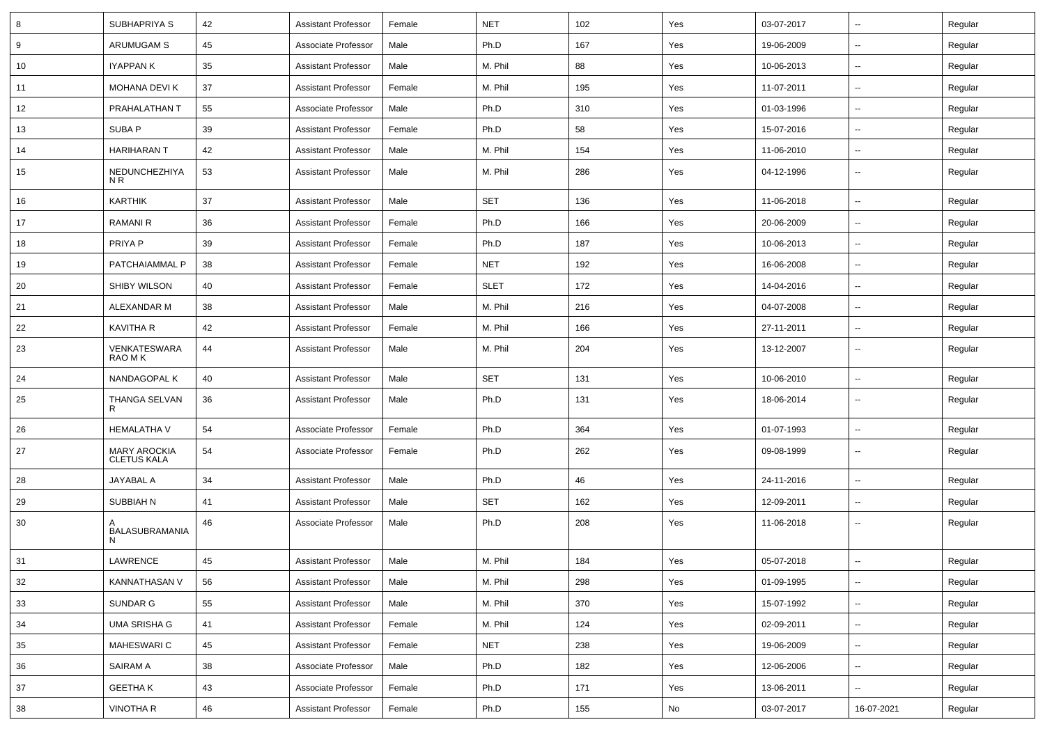| 8  | SUBHAPRIYA S                              | 42 | <b>Assistant Professor</b> | Female | <b>NET</b>  | 102 | Yes | 03-07-2017 | $\overline{\phantom{a}}$ | Regular |
|----|-------------------------------------------|----|----------------------------|--------|-------------|-----|-----|------------|--------------------------|---------|
| 9  | ARUMUGAM S                                | 45 | Associate Professor        | Male   | Ph.D        | 167 | Yes | 19-06-2009 | $\sim$                   | Regular |
| 10 | IYAPPAN K                                 | 35 | <b>Assistant Professor</b> | Male   | M. Phil     | 88  | Yes | 10-06-2013 | --                       | Regular |
| 11 | MOHANA DEVI K                             | 37 | <b>Assistant Professor</b> | Female | M. Phil     | 195 | Yes | 11-07-2011 | $\overline{\phantom{a}}$ | Regular |
| 12 | PRAHALATHAN T                             | 55 | Associate Professor        | Male   | Ph.D        | 310 | Yes | 01-03-1996 | $\overline{\phantom{a}}$ | Regular |
| 13 | SUBA P                                    | 39 | <b>Assistant Professor</b> | Female | Ph.D        | 58  | Yes | 15-07-2016 | $\overline{\phantom{a}}$ | Regular |
| 14 | <b>HARIHARAN T</b>                        | 42 | <b>Assistant Professor</b> | Male   | M. Phil     | 154 | Yes | 11-06-2010 | $\sim$                   | Regular |
| 15 | NEDUNCHEZHIYA<br>N R                      | 53 | <b>Assistant Professor</b> | Male   | M. Phil     | 286 | Yes | 04-12-1996 | ⊷.                       | Regular |
| 16 | KARTHIK                                   | 37 | <b>Assistant Professor</b> | Male   | <b>SET</b>  | 136 | Yes | 11-06-2018 | $\sim$                   | Regular |
| 17 | <b>RAMANI R</b>                           | 36 | <b>Assistant Professor</b> | Female | Ph.D        | 166 | Yes | 20-06-2009 | $\overline{\phantom{a}}$ | Regular |
| 18 | PRIYA P                                   | 39 | <b>Assistant Professor</b> | Female | Ph.D        | 187 | Yes | 10-06-2013 | -−                       | Regular |
| 19 | PATCHAIAMMAL P                            | 38 | <b>Assistant Professor</b> | Female | <b>NET</b>  | 192 | Yes | 16-06-2008 | $\overline{\phantom{a}}$ | Regular |
| 20 | SHIBY WILSON                              | 40 | <b>Assistant Professor</b> | Female | <b>SLET</b> | 172 | Yes | 14-04-2016 | $\sim$                   | Regular |
| 21 | ALEXANDAR M                               | 38 | <b>Assistant Professor</b> | Male   | M. Phil     | 216 | Yes | 04-07-2008 | $\sim$                   | Regular |
| 22 | KAVITHA R                                 | 42 | <b>Assistant Professor</b> | Female | M. Phil     | 166 | Yes | 27-11-2011 | $\sim$                   | Regular |
| 23 | VENKATESWARA<br>RAO M K                   | 44 | <b>Assistant Professor</b> | Male   | M. Phil     | 204 | Yes | 13-12-2007 | --                       | Regular |
| 24 | NANDAGOPAL K                              | 40 | <b>Assistant Professor</b> | Male   | <b>SET</b>  | 131 | Yes | 10-06-2010 | --                       | Regular |
| 25 | THANGA SELVAN<br>R                        | 36 | <b>Assistant Professor</b> | Male   | Ph.D        | 131 | Yes | 18-06-2014 | н.                       | Regular |
| 26 | <b>HEMALATHA V</b>                        | 54 | Associate Professor        | Female | Ph.D        | 364 | Yes | 01-07-1993 | $\overline{\phantom{a}}$ | Regular |
| 27 | <b>MARY AROCKIA</b><br><b>CLETUS KALA</b> | 54 | Associate Professor        | Female | Ph.D        | 262 | Yes | 09-08-1999 | $\overline{\phantom{a}}$ | Regular |
| 28 | JAYABAL A                                 | 34 | <b>Assistant Professor</b> | Male   | Ph.D        | 46  | Yes | 24-11-2016 | $\overline{\phantom{a}}$ | Regular |
| 29 | SUBBIAH N                                 | 41 | <b>Assistant Professor</b> | Male   | <b>SET</b>  | 162 | Yes | 12-09-2011 | -−                       | Regular |
| 30 | BALASUBRAMANIA<br>N                       | 46 | Associate Professor        | Male   | Ph.D        | 208 | Yes | 11-06-2018 | ⊷.                       | Regular |
| 31 | LAWRENCE                                  | 45 | <b>Assistant Professor</b> | Male   | M. Phil     | 184 | Yes | 05-07-2018 |                          | Regular |
| 32 | KANNATHASAN V                             | 56 | <b>Assistant Professor</b> | Male   | M. Phil     | 298 | Yes | 01-09-1995 | $\sim$                   | Regular |
| 33 | SUNDAR G                                  | 55 | <b>Assistant Professor</b> | Male   | M. Phil     | 370 | Yes | 15-07-1992 | $\sim$                   | Regular |
| 34 | <b>UMA SRISHA G</b>                       | 41 | <b>Assistant Professor</b> | Female | M. Phil     | 124 | Yes | 02-09-2011 | н.                       | Regular |
| 35 | <b>MAHESWARI C</b>                        | 45 | <b>Assistant Professor</b> | Female | <b>NET</b>  | 238 | Yes | 19-06-2009 | ⊷.                       | Regular |
| 36 | SAIRAM A                                  | 38 | Associate Professor        | Male   | Ph.D        | 182 | Yes | 12-06-2006 | $\sim$                   | Regular |
| 37 | <b>GEETHAK</b>                            | 43 | Associate Professor        | Female | Ph.D        | 171 | Yes | 13-06-2011 | н.                       | Regular |
| 38 | <b>VINOTHA R</b>                          | 46 | <b>Assistant Professor</b> | Female | Ph.D        | 155 | No  | 03-07-2017 | 16-07-2021               | Regular |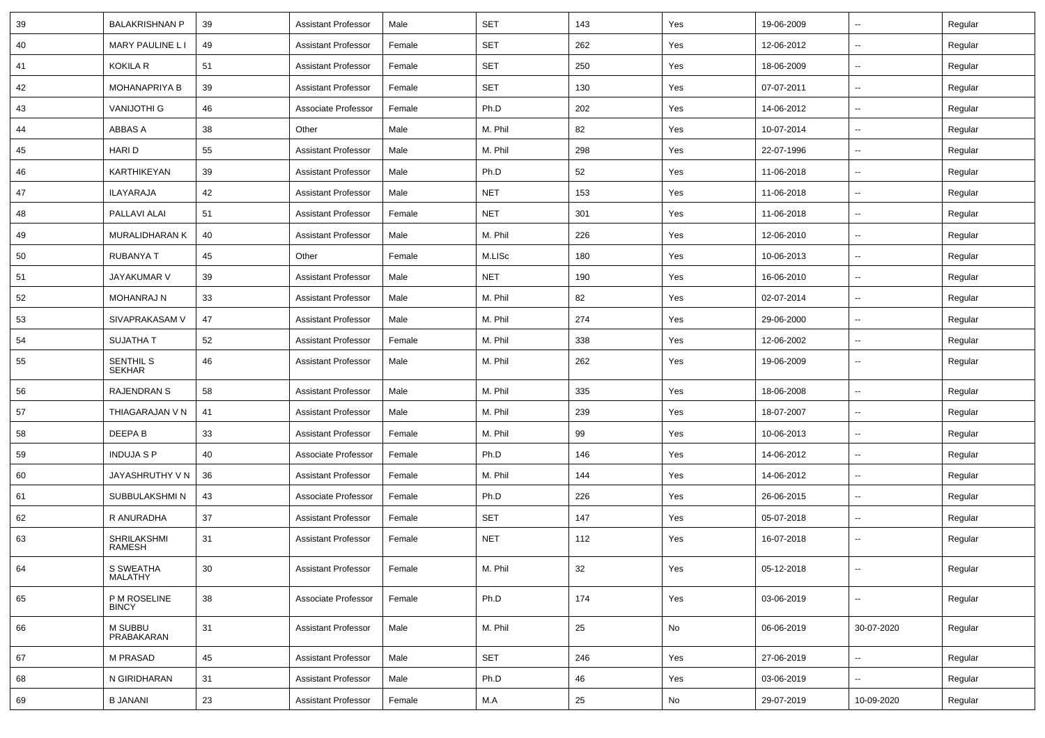| 39 | <b>BALAKRISHNAN P</b>             | 39              | <b>Assistant Professor</b> | Male   | <b>SET</b> | 143    | Yes | 19-06-2009 | $\sim$         | Regular |
|----|-----------------------------------|-----------------|----------------------------|--------|------------|--------|-----|------------|----------------|---------|
| 40 | MARY PAULINE L I                  | 49              | <b>Assistant Professor</b> | Female | <b>SET</b> | 262    | Yes | 12-06-2012 | Ξ.             | Regular |
| 41 | <b>KOKILA R</b>                   | 51              | <b>Assistant Professor</b> | Female | SET        | 250    | Yes | 18-06-2009 | $\sim$         | Regular |
| 42 | <b>MOHANAPRIYA B</b>              | 39              | <b>Assistant Professor</b> | Female | <b>SET</b> | 130    | Yes | 07-07-2011 | $\overline{a}$ | Regular |
| 43 | <b>VANIJOTHI G</b>                | 46              | Associate Professor        | Female | Ph.D       | 202    | Yes | 14-06-2012 | $\sim$         | Regular |
| 44 | ABBAS A                           | 38              | Other                      | Male   | M. Phil    | 82     | Yes | 10-07-2014 | $\sim$         | Regular |
| 45 | HARI D                            | 55              | <b>Assistant Professor</b> | Male   | M. Phil    | 298    | Yes | 22-07-1996 | $\sim$         | Regular |
| 46 | KARTHIKEYAN                       | 39              | <b>Assistant Professor</b> | Male   | Ph.D       | 52     | Yes | 11-06-2018 | $\sim$         | Regular |
| 47 | ILAYARAJA                         | 42              | <b>Assistant Professor</b> | Male   | <b>NET</b> | 153    | Yes | 11-06-2018 | $\sim$         | Regular |
| 48 | PALLAVI ALAI                      | 51              | <b>Assistant Professor</b> | Female | <b>NET</b> | 301    | Yes | 11-06-2018 | --             | Regular |
| 49 | MURALIDHARAN K                    | 40              | <b>Assistant Professor</b> | Male   | M. Phil    | 226    | Yes | 12-06-2010 | $\sim$         | Regular |
| 50 | <b>RUBANYA T</b>                  | 45              | Other                      | Female | M.LISc     | 180    | Yes | 10-06-2013 | $\sim$         | Regular |
| 51 | <b>JAYAKUMAR V</b>                | 39              | <b>Assistant Professor</b> | Male   | <b>NET</b> | 190    | Yes | 16-06-2010 | $\sim$         | Regular |
| 52 | <b>MOHANRAJ N</b>                 | 33              | <b>Assistant Professor</b> | Male   | M. Phil    | 82     | Yes | 02-07-2014 | ш.             | Regular |
| 53 | SIVAPRAKASAM V                    | 47              | <b>Assistant Professor</b> | Male   | M. Phil    | 274    | Yes | 29-06-2000 | $\sim$         | Regular |
| 54 | <b>SUJATHA T</b>                  | 52              | <b>Assistant Professor</b> | Female | M. Phil    | 338    | Yes | 12-06-2002 | $\sim$         | Regular |
| 55 | <b>SENTHIL S</b><br><b>SEKHAR</b> | 46              | <b>Assistant Professor</b> | Male   | M. Phil    | 262    | Yes | 19-06-2009 | Ξ.             | Regular |
| 56 | <b>RAJENDRAN S</b>                | 58              | <b>Assistant Professor</b> | Male   | M. Phil    | 335    | Yes | 18-06-2008 | ш.             | Regular |
| 57 | THIAGARAJAN V N                   | 41              | <b>Assistant Professor</b> | Male   | M. Phil    | 239    | Yes | 18-07-2007 | $\sim$         | Regular |
| 58 | DEEPA B                           | 33              | <b>Assistant Professor</b> | Female | M. Phil    | 99     | Yes | 10-06-2013 | $\sim$         | Regular |
| 59 | <b>INDUJA S P</b>                 | 40              | Associate Professor        | Female | Ph.D       | 146    | Yes | 14-06-2012 | Ξ.             | Regular |
| 60 | JAYASHRUTHY V N                   | 36              | <b>Assistant Professor</b> | Female | M. Phil    | 144    | Yes | 14-06-2012 | $\sim$         | Regular |
| 61 | SUBBULAKSHMI N                    | 43              | Associate Professor        | Female | Ph.D       | 226    | Yes | 26-06-2015 |                | Regular |
| 62 | R ANURADHA                        | 37              | <b>Assistant Professor</b> | Female | <b>SET</b> | 147    | Yes | 05-07-2018 | Ξ.             | Regular |
| 63 | SHRILAKSHMI<br>RAMESH             | 31              | <b>Assistant Professor</b> | Female | <b>NET</b> | 112    | Yes | 16-07-2018 | $\sim$         | Regular |
| 64 | S SWEATHA<br>MALATHY              | 30 <sup>°</sup> | Assistant Professor        | Female | M. Phil    | 32     | Yes | 05-12-2018 |                | Regular |
| 65 | P M ROSELINE<br><b>BINCY</b>      | 38              | Associate Professor        | Female | Ph.D       | 174    | Yes | 03-06-2019 | $\mathbb{Z}^2$ | Regular |
| 66 | M SUBBU<br>PRABAKARAN             | 31              | <b>Assistant Professor</b> | Male   | M. Phil    | 25     | No  | 06-06-2019 | 30-07-2020     | Regular |
| 67 | M PRASAD                          | 45              | <b>Assistant Professor</b> | Male   | SET        | 246    | Yes | 27-06-2019 | $\mathbb{Z}^2$ | Regular |
| 68 | N GIRIDHARAN                      | 31              | <b>Assistant Professor</b> | Male   | Ph.D       | 46     | Yes | 03-06-2019 | ц.             | Regular |
| 69 | <b>B JANANI</b>                   | 23              | <b>Assistant Professor</b> | Female | M.A        | $25\,$ | No  | 29-07-2019 | 10-09-2020     | Regular |